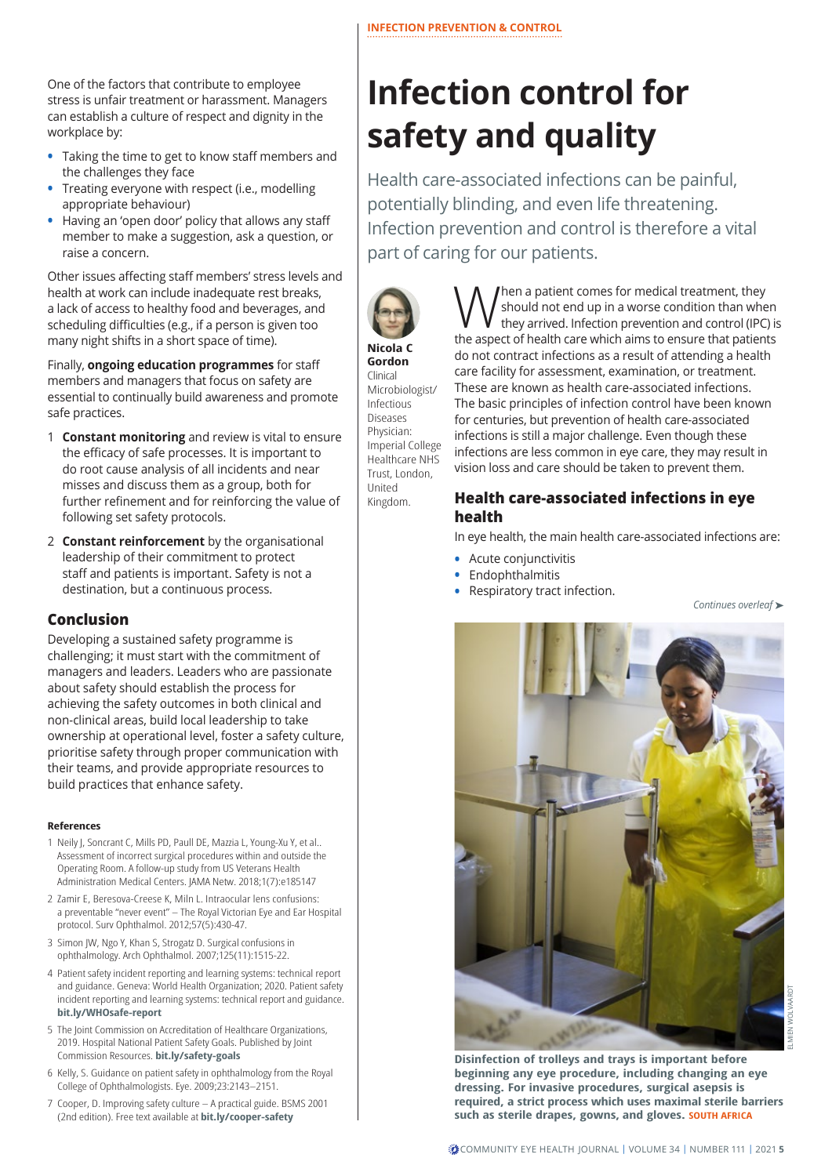One of the factors that contribute to employee stress is unfair treatment or harassment. Managers can establish a culture of respect and dignity in the workplace by:

- **•** Taking the time to get to know staff members and the challenges they face
- **•** Treating everyone with respect (i.e., modelling appropriate behaviour)
- **•** Having an 'open door' policy that allows any staff member to make a suggestion, ask a question, or raise a concern.

Other issues affecting staff members' stress levels and health at work can include inadequate rest breaks, a lack of access to healthy food and beverages, and scheduling difficulties (e.g., if a person is given too many night shifts in a short space of time).

Finally, **ongoing education programmes** for staff members and managers that focus on safety are essential to continually build awareness and promote safe practices.

- 1 **Constant monitoring** and review is vital to ensure the efficacy of safe processes. It is important to do root cause analysis of all incidents and near misses and discuss them as a group, both for further refinement and for reinforcing the value of following set safety protocols.
- 2 **Constant reinforcement** by the organisational leadership of their commitment to protect staff and patients is important. Safety is not a destination, but a continuous process.

## **Conclusion**

Developing a sustained safety programme is challenging; it must start with the commitment of managers and leaders. Leaders who are passionate about safety should establish the process for achieving the safety outcomes in both clinical and non-clinical areas, build local leadership to take ownership at operational level, foster a safety culture, prioritise safety through proper communication with their teams, and provide appropriate resources to build practices that enhance safety.

#### **References**

- 1 Neily J, Soncrant C, Mills PD, Paull DE, Mazzia L, Young-Xu Y, et al.. Assessment of incorrect surgical procedures within and outside the Operating Room. A follow-up study from US Veterans Health Administration Medical Centers. JAMA Netw. 2018;1(7):e185147
- 2 Zamir E, Beresova-Creese K, Miln L. Intraocular lens confusions: a preventable "never event" – The Royal Victorian Eye and Ear Hospital protocol. Surv Ophthalmol. 2012;57(5):430-47.
- 3 Simon JW, Ngo Y, Khan S, Strogatz D. Surgical confusions in ophthalmology. Arch Ophthalmol. 2007;125(11):1515-22.
- 4 Patient safety incident reporting and learning systems: technical report and guidance. Geneva: World Health Organization; 2020. Patient safety incident reporting and learning systems: technical report and guidance. **[bit.ly/WHOsafe-report](http://bit.ly/WHOsafe-report)**
- 5 The Joint Commission on Accreditation of Healthcare Organizations, 2019. Hospital National Patient Safety Goals. Published by Joint Commission Resources. **[bit.ly/safety-goals](http://bit.ly/safety-goals)**
- 6 Kelly, S. Guidance on patient safety in ophthalmology from the Royal College of Ophthalmologists. Eye. 2009;23:2143–2151.
- 7 Cooper, D. Improving safety culture A practical guide. BSMS 2001 (2nd edition). Free text available at **[bit.ly/cooper-safety](http://bit.ly/cooper-safety)**

# **Infection control for safety and quality**

Health care-associated infections can be painful, potentially blinding, and even life threatening. Infection prevention and control is therefore a vital part of caring for our patients.



### **Nicola C Gordon**

Clinical Microbiologist/ Infectious Diseases Physician: Imperial College Healthcare NHS Trust, London, United Kingdom.

When a patient comes for medical treatment, they<br>they arrived. Infection prevention and control (IPC) is<br>the argest of boalth care which aims to opens that patients should not end up in a worse condition than when the aspect of health care which aims to ensure that patients do not contract infections as a result of attending a health care facility for assessment, examination, or treatment. These are known as health care-associated infections. The basic principles of infection control have been known for centuries, but prevention of health care-associated infections is still a major challenge. Even though these infections are less common in eye care, they may result in vision loss and care should be taken to prevent them.

# **Health care-associated infections in eye health**

In eye health, the main health care-associated infections are:

- **•** Acute conjunctivitis
- **•** Endophthalmitis
- **•** Respiratory tract infection.





ELMIEN WOLVAARDT

**Disinfection of trolleys and trays is important before beginning any eye procedure, including changing an eye dressing. For invasive procedures, surgical asepsis is required, a strict process which uses maximal sterile barriers such as sterile drapes, gowns, and gloves. SOUTH AFRICA**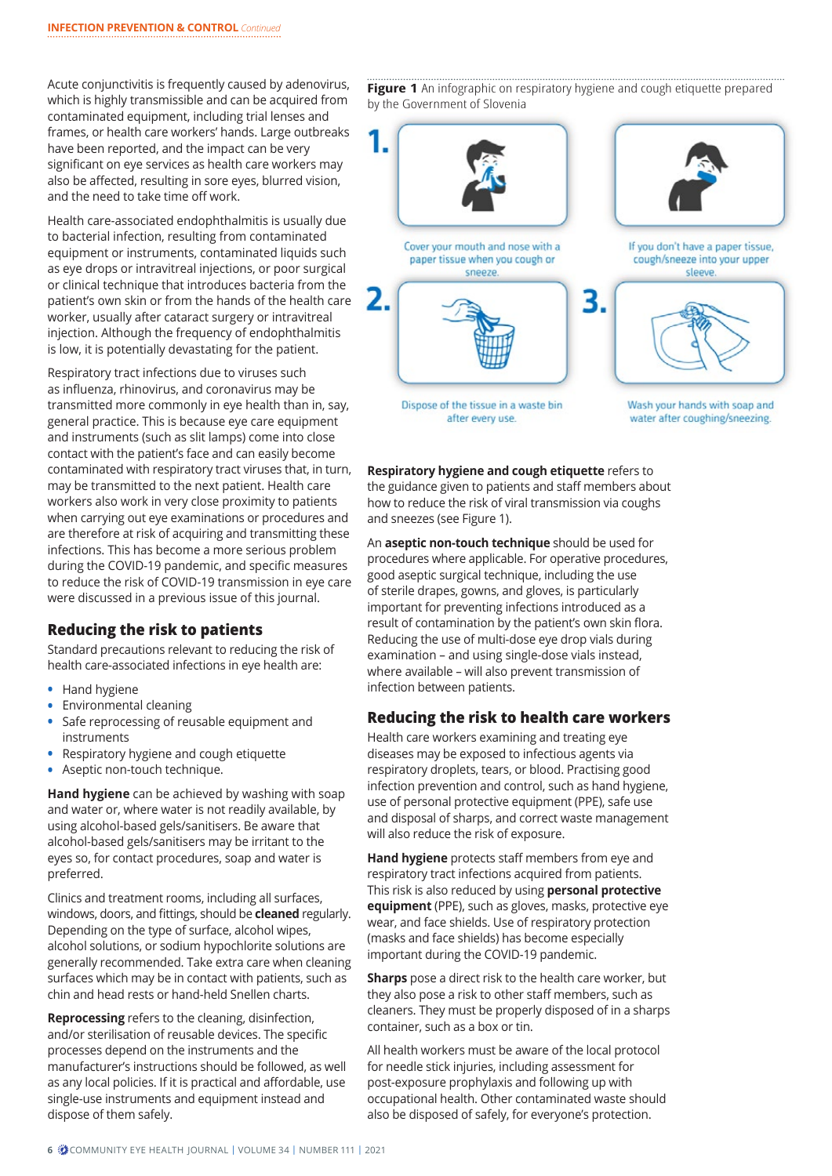Acute conjunctivitis is frequently caused by adenovirus, which is highly transmissible and can be acquired from contaminated equipment, including trial lenses and frames, or health care workers' hands. Large outbreaks have been reported, and the impact can be very significant on eye services as health care workers may also be affected, resulting in sore eyes, blurred vision, and the need to take time off work.

Health care-associated endophthalmitis is usually due to bacterial infection, resulting from contaminated equipment or instruments, contaminated liquids such as eye drops or intravitreal injections, or poor surgical or clinical technique that introduces bacteria from the patient's own skin or from the hands of the health care worker, usually after cataract surgery or intravitreal injection. Although the frequency of endophthalmitis is low, it is potentially devastating for the patient.

Respiratory tract infections due to viruses such as influenza, rhinovirus, and coronavirus may be transmitted more commonly in eye health than in, say, general practice. This is because eye care equipment and instruments (such as slit lamps) come into close contact with the patient's face and can easily become contaminated with respiratory tract viruses that, in turn, may be transmitted to the next patient. Health care workers also work in very close proximity to patients when carrying out eye examinations or procedures and are therefore at risk of acquiring and transmitting these infections. This has become a more serious problem during the COVID-19 pandemic, and specific measures to reduce the risk of COVID-19 transmission in eye care were discussed in a previous issue of this journal.

## **Reducing the risk to patients**

Standard precautions relevant to reducing the risk of health care-associated infections in eye health are:

- **•** Hand hygiene
- **•** Environmental cleaning
- **•** Safe reprocessing of reusable equipment and instruments
- **•** Respiratory hygiene and cough etiquette
- **•** Aseptic non-touch technique.

**Hand hygiene** can be achieved by washing with soap and water or, where water is not readily available, by using alcohol-based gels/sanitisers. Be aware that alcohol-based gels/sanitisers may be irritant to the eyes so, for contact procedures, soap and water is preferred.

Clinics and treatment rooms, including all surfaces, windows, doors, and fittings, should be **cleaned** regularly. Depending on the type of surface, alcohol wipes, alcohol solutions, or sodium hypochlorite solutions are generally recommended. Take extra care when cleaning surfaces which may be in contact with patients, such as chin and head rests or hand-held Snellen charts.

**Reprocessing** refers to the cleaning, disinfection, and/or sterilisation of reusable devices. The specific processes depend on the instruments and the manufacturer's instructions should be followed, as well as any local policies. If it is practical and affordable, use single-use instruments and equipment instead and dispose of them safely.

Figure 1 An infographic on respiratory hygiene and cough etiquette prepared by the Government of Slovenia



water after coughing/sneezing.

**Respiratory hygiene and cough etiquette** refers to the guidance given to patients and staff members about how to reduce the risk of viral transmission via coughs and sneezes (see Figure 1).

after every use.

An **aseptic non-touch technique** should be used for procedures where applicable. For operative procedures, good aseptic surgical technique, including the use of sterile drapes, gowns, and gloves, is particularly important for preventing infections introduced as a result of contamination by the patient's own skin flora. Reducing the use of multi-dose eye drop vials during examination – and using single-dose vials instead, where available – will also prevent transmission of infection between patients.

### **Reducing the risk to health care workers**

Health care workers examining and treating eye diseases may be exposed to infectious agents via respiratory droplets, tears, or blood. Practising good infection prevention and control, such as hand hygiene, use of personal protective equipment (PPE), safe use and disposal of sharps, and correct waste management will also reduce the risk of exposure.

**Hand hygiene** protects staff members from eye and respiratory tract infections acquired from patients. This risk is also reduced by using **personal protective equipment** (PPE), such as gloves, masks, protective eye wear, and face shields. Use of respiratory protection (masks and face shields) has become especially important during the COVID-19 pandemic.

**Sharps** pose a direct risk to the health care worker, but they also pose a risk to other staff members, such as cleaners. They must be properly disposed of in a sharps container, such as a box or tin.

All health workers must be aware of the local protocol for needle stick injuries, including assessment for post-exposure prophylaxis and following up with occupational health. Other contaminated waste should also be disposed of safely, for everyone's protection.